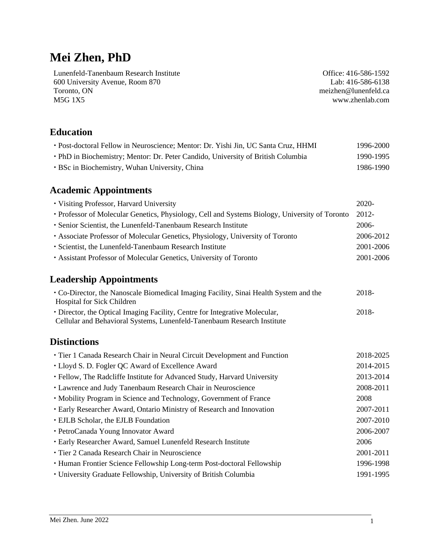# **Mei Zhen, PhD**

Lunenfeld-Tanenbaum Research Institute 600 University Avenue, Room 870 Toronto, ON M5G 1X5

Office: 416-586-1592 Lab: 416-586-6138 me[izhen@lunenfeld.ca](mailto:zhen@lunenfeld.ca) www.zhenlab.com

# **Education**

| • Post-doctoral Fellow in Neuroscience; Mentor: Dr. Yishi Jin, UC Santa Cruz, HHMI | 1996-2000 |
|------------------------------------------------------------------------------------|-----------|
| • PhD in Biochemistry; Mentor: Dr. Peter Candido, University of British Columbia   | 1990-1995 |
| • BSc in Biochemistry, Wuhan University, China                                     | 1986-1990 |

# **Academic Appointments**

| • Visiting Professor, Harvard University                                                                                                               | 2020-     |
|--------------------------------------------------------------------------------------------------------------------------------------------------------|-----------|
| • Professor of Molecular Genetics, Physiology, Cell and Systems Biology, University of Toronto                                                         | 2012-     |
| · Senior Scientist, the Lunenfeld-Tanenbaum Research Institute                                                                                         | 2006-     |
| • Associate Professor of Molecular Genetics, Physiology, University of Toronto                                                                         | 2006-2012 |
| · Scientist, the Lunenfeld-Tanenbaum Research Institute                                                                                                | 2001-2006 |
| · Assistant Professor of Molecular Genetics, University of Toronto                                                                                     | 2001-2006 |
| <b>Leadership Appointments</b>                                                                                                                         |           |
| • Co-Director, the Nanoscale Biomedical Imaging Facility, Sinai Health System and the<br>Hospital for Sick Children                                    | 2018-     |
| • Director, the Optical Imaging Facility, Centre for Integrative Molecular,<br>Cellular and Behavioral Systems, Lunenfeld-Tanenbaum Research Institute | 2018-     |
| <b>Distinctions</b>                                                                                                                                    |           |
| · Tier 1 Canada Research Chair in Neural Circuit Development and Function                                                                              | 2018-2025 |
| • Lloyd S. D. Fogler QC Award of Excellence Award                                                                                                      | 2014-2015 |
| • Fellow, The Radcliffe Institute for Advanced Study, Harvard University                                                                               | 2013-2014 |
| • Lawrence and Judy Tanenbaum Research Chair in Neuroscience                                                                                           | 2008-2011 |
| • Mobility Program in Science and Technology, Government of France                                                                                     | 2008      |
| • Early Researcher Award, Ontario Ministry of Research and Innovation                                                                                  | 2007-2011 |
| · EJLB Scholar, the EJLB Foundation                                                                                                                    | 2007-2010 |
| • PetroCanada Young Innovator Award                                                                                                                    | 2006-2007 |
| · Early Researcher Award, Samuel Lunenfeld Research Institute                                                                                          | 2006      |
| • Tier 2 Canada Research Chair in Neuroscience                                                                                                         | 2001-2011 |
| • Human Frontier Science Fellowship Long-term Post-doctoral Fellowship                                                                                 | 1996-1998 |
| · University Graduate Fellowship, University of British Columbia                                                                                       | 1991-1995 |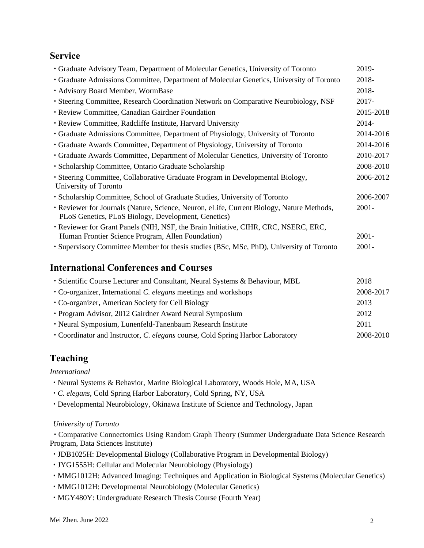### **Service**

| • Graduate Advisory Team, Department of Molecular Genetics, University of Toronto                                                                | 2019-     |
|--------------------------------------------------------------------------------------------------------------------------------------------------|-----------|
| • Graduate Admissions Committee, Department of Molecular Genetics, University of Toronto                                                         | 2018-     |
| · Advisory Board Member, WormBase                                                                                                                | 2018-     |
| • Steering Committee, Research Coordination Network on Comparative Neurobiology, NSF                                                             | $2017 -$  |
| • Review Committee, Canadian Gairdner Foundation                                                                                                 | 2015-2018 |
| • Review Committee, Radcliffe Institute, Harvard University                                                                                      | 2014-     |
| • Graduate Admissions Committee, Department of Physiology, University of Toronto                                                                 | 2014-2016 |
| • Graduate Awards Committee, Department of Physiology, University of Toronto                                                                     | 2014-2016 |
| • Graduate Awards Committee, Department of Molecular Genetics, University of Toronto                                                             | 2010-2017 |
| · Scholarship Committee, Ontario Graduate Scholarship                                                                                            | 2008-2010 |
| • Steering Committee, Collaborative Graduate Program in Developmental Biology,<br>University of Toronto                                          | 2006-2012 |
| • Scholarship Committee, School of Graduate Studies, University of Toronto                                                                       | 2006-2007 |
| • Reviewer for Journals (Nature, Science, Neuron, eLife, Current Biology, Nature Methods,<br>PLoS Genetics, PLoS Biology, Development, Genetics) | $2001 -$  |
| • Reviewer for Grant Panels (NIH, NSF, the Brain Initiative, CIHR, CRC, NSERC, ERC,<br>Human Frontier Science Program, Allen Foundation)         | $2001 -$  |
| · Supervisory Committee Member for thesis studies (BSc, MSc, PhD), University of Toronto                                                         | $2001 -$  |
|                                                                                                                                                  |           |

# **International Conferences and Courses**

| • Scientific Course Lecturer and Consultant, Neural Systems & Behaviour, MBL   | 2018      |
|--------------------------------------------------------------------------------|-----------|
| • Co-organizer, International C. elegans meetings and workshops                | 2008-2017 |
| • Co-organizer, American Society for Cell Biology                              | 2013      |
| • Program Advisor, 2012 Gairdner Award Neural Symposium                        | 2012      |
| • Neural Symposium, Lunenfeld-Tanenbaum Research Institute                     | 2011      |
| • Coordinator and Instructor, C. elegans course, Cold Spring Harbor Laboratory | 2008-2010 |

# **Teaching**

*International*

- Neural Systems & Behavior, Marine Biological Laboratory, Woods Hole, MA, USA
- *C. elegans*, Cold Spring Harbor Laboratory, Cold Spring, NY, USA
- Developmental Neurobiology, Okinawa Institute of Science and Technology, Japan

### *University of Toronto*

 Comparative Connectomics Using Random Graph Theory (Summer Undergraduate Data Science Research Program, Data Sciences Institute)

- JDB1025H: Developmental Biology (Collaborative Program in Developmental Biology)
- JYG1555H: Cellular and Molecular Neurobiology (Physiology)
- MMG1012H: Advanced Imaging: Techniques and Application in Biological Systems (Molecular Genetics)
- MMG1012H: Developmental Neurobiology (Molecular Genetics)
- MGY480Y: Undergraduate Research Thesis Course (Fourth Year)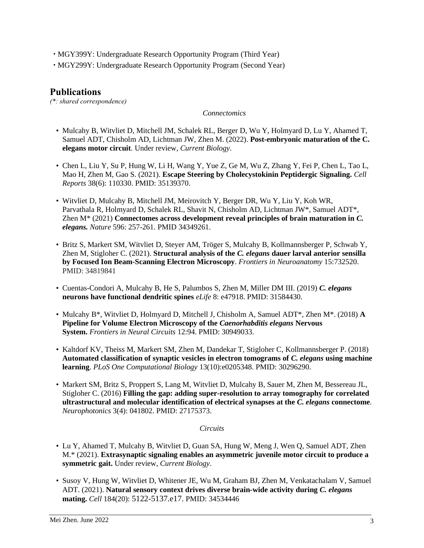- MGY399Y: Undergraduate Research Opportunity Program (Third Year)
- MGY299Y: Undergraduate Research Opportunity Program (Second Year)

### **Publications**

*(\*: shared correspondence)*

#### *Connectomics*

- Mulcahy B, Witvliet D, Mitchell JM, Schalek RL, Berger D, Wu Y, Holmyard D, Lu Y, Ahamed T, Samuel ADT, Chisholm AD, Lichtman JW, Zhen M. (2022). **Post-embryonic maturation of the C. elegans motor circuit**. Under review, *Current Biology*.
- Chen L, Liu Y, Su P, Hung W, Li H, Wang Y, Yue Z, Ge M, Wu Z, Zhang Y, Fei P, Chen L, Tao L, Mao H, Zhen M, Gao S. (2021). **Escape Steering by Cholecystokinin Peptidergic Signaling.** *Cell Reports* 38(6): 110330. PMID: 35139370.
- Witvliet D, Mulcahy B, Mitchell JM, Meirovitch Y, Berger DR, Wu Y, Liu Y, Koh WR, Parvathala R, Holmyard D, Schalek RL, Shavit N, Chisholm AD, Lichtman JW\*, Samuel ADT\*, Zhen M\* (2021) **Connectomes across development reveal principles of brain maturation in** *C. elegans. Nature* 596: 257-261. PMID 34349261.
- Britz S, Markert SM, Witvliet D, Steyer AM, Tröger S, Mulcahy B, Kollmannsberger P, Schwab Y, Zhen M, Stigloher C. (2021). **Structural analysis of the** *C. elegans* **dauer larval anterior sensilla by Focused Ion Beam-Scanning Electron Microscopy**. *Frontiers in Neuroanatomy* 15:732520. PMID: 34819841
- Cuentas-Condori A, Mulcahy B, He S, Palumbos S, Zhen M, Miller DM III. (2019) *C. elegans*  **neurons have functional dendritic spines** *eLife* 8: e47918. PMID: 31584430.
- Mulcahy B\*, Witvliet D, Holmyard D, Mitchell J, Chisholm A, Samuel ADT\*, Zhen M\*. (2018) **A Pipeline for Volume Electron Microscopy of the** *Caenorhabditis elegans* **Nervous System.** *Frontiers in Neural Circuits* 12:94. PMID: 30949033.
- Kaltdorf KV, Theiss M, Markert SM, Zhen M, Dandekar T, Stigloher C, Kollmannsberger P. (2018) **Automated classification of synaptic vesicles in electron tomograms of** *C. elegans* **using machine learning**. *PLoS One Computational Biology* 13(10):e0205348. PMID: 30296290.
- Markert SM, Britz S, Proppert S, Lang M, Witvliet D, Mulcahy B, Sauer M, Zhen M, Bessereau JL, Stigloher C. (2016) **Filling the gap: adding super-resolution to array tomography for correlated ultrastructural and molecular identification of electrical synapses at the** *C. elegans* **connectome**. *[Neurophotonics](http://www.ncbi.nlm.nih.gov/pubmed/?term=Neurophoton+3%284%29%3A+041802%2C)* 3(4): 041802. PMID: 27175373.

#### *Circuits*

- Lu Y, Ahamed T, Mulcahy B, Witvliet D, Guan SA, Hung W, Meng J, Wen Q, Samuel ADT, Zhen M.\* (2021). **Extrasynaptic signaling enables an asymmetric juvenile motor circuit to produce a symmetric gait.** Under review, *Current Biology*.
- Susoy V, Hung W, Witvliet D, Whitener JE, Wu M, Graham BJ, Zhen M, Venkatachalam V, Samuel ADT. (2021). **Natural sensory context drives diverse brain-wide activity during** *C. elegans* **mating.** *Cell* 184(20): 5122-5137.e17. PMID: 34534446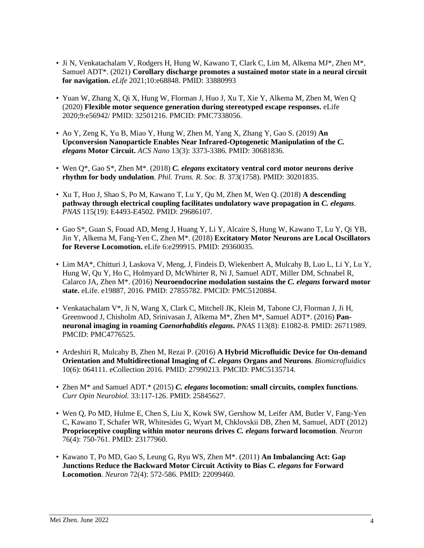- Ji N, Venkatachalam V, Rodgers H, Hung W, Kawano T, Clark C, Lim M, Alkema MJ\*, Zhen M\*, Samuel ADT\*. (2021) **Corollary discharge promotes a sustained motor state in a neural circuit for navigation.** *eLife* 2021;10:e68848. PMID: 33880993
- Yuan W, Zhang X, Qi X, Hung W, Florman J, Huo J, Xu T, Xie Y, Alkema M, Zhen M, Wen Q (2020) **Flexible motor sequence generation during stereotyped escape responses.** eLife 2020;9:e56942/ PMID: 32501216. PMCID: PMC7338056.
- Ao Y, Zeng K, Yu B, Miao Y, Hung W, Zhen M, Yang X, Zhang Y, Gao S. (2019) **An Upconversion Nanoparticle Enables Near Infrared-Optogenetic Manipulation of the** *C. elegans* **Motor Circuit.** *ACS Nano* 13(3): 3373-3386. PMID: 30681836.
- Wen Q\*, Gao S\*, Zhen M\*. (2018) *C. elegans* **excitatory ventral cord motor neurons derive rhythm for body undulation**. *Phil. Trans. R. Soc. B*. 373(1758). PMID: 30201835.
- Xu T, Huo J, Shao S, Po M, Kawano T, Lu Y, Qu M, Zhen M, Wen Q. (2018) **A descending pathway through electrical coupling facilitates undulatory wave propagation in** *C. elegans*. *PNAS* 115(19): E4493-E4502. PMID: 29686107.
- Gao S\*, Guan S, Fouad AD, Meng J, Huang Y, Li Y, Alcaire S, Hung W, Kawano T, Lu Y, Qi YB, Jin Y, Alkema M, Fang-Yen C, Zhen M\*. (2018) **Excitatory Motor Neurons are Local Oscillators for Reverse Locomotion.** eLife 6:e299915. PMID: 29360035.
- Lim MA\*, Chitturi J, Laskova V, Meng, J, Findeis D, Wiekenbert A, Mulcahy B, Luo L, Li Y, Lu Y, Hung W, Qu Y, Ho C, Holmyard D, McWhirter R, Ni J, Samuel ADT, Miller DM, Schnabel R, Calarco JA, Zhen M\*. (2016) **Neuroendocrine modulation sustains the** *C. elegans* **forward motor state.** [eLife.](https://www-ncbi-nlm-nih-gov.myaccess.library.utoronto.ca/pubmed/?term=Neuroendocrine+Modulation+Sustains+the+C.+elegans+Forward+Motor+State) e19887, 2016. PMID: 27855782. PMCID: PMC5120884.
- Venkatachalam V\*, Ji N, Wang X, Clark C, Mitchell JK, Klein M, Tabone CJ, Florman J, Ji H, Greenwood J, Chisholm AD, Srinivasan J, Alkema M\*, Zhen M\*, Samuel ADT\*. (2016) **Panneuronal imaging in roaming** *Caenorhabditis elegans***.** *[PNAS](http://www.ncbi.nlm.nih.gov/pubmed/?term=Pan-neuronal+Imaging+in+Roaming+Animals.+PNAS+113%3A+E1082-88)* 113(8): E1082-8. PMID: 26711989. PMCID: PMC4776525.
- Ardeshiri R, Mulcahy B, Zhen M, Rezai P. (2016) **A Hybrid Microfluidic Device for On-demand Orientation and Multidirectional Imaging of** *C. elegans* **Organs and Neurons**. *Biomicrofluidics*  10(6): 064111. eCollection 2016. PMID: 27990213. PMCID: PMC5135714.
- Zhen M\* and Samuel ADT.\* (2015) *C. elegans* **locomotion: small circuits, complex functions**. *Curr Opin Neurobiol.* 33:117-126. PMID: 25845627.
- Wen Q, Po MD, Hulme E, Chen S, Liu X, Kowk SW, Gershow M, Leifer AM, Butler V, Fang-Yen C, Kawano T, Schafer WR, Whitesides G, Wyart M, Chklovskii DB, Zhen M, Samuel, ADT (2012) **Proprioceptive coupling within motor neurons drives** *C. elegans* **forward locomotion**. *Neuron* 76(4): 750-761. PMID: 23177960.
- Kawano T, Po MD, Gao S, Leung G, Ryu WS, Zhen M\*. (2011) **An Imbalancing Act: Gap Junctions Reduce the Backward Motor Circuit Activity to Bias** *C. elegans* **for Forward Locomotion**. *Neuron* 72(4): 572-586. PMID: 22099460.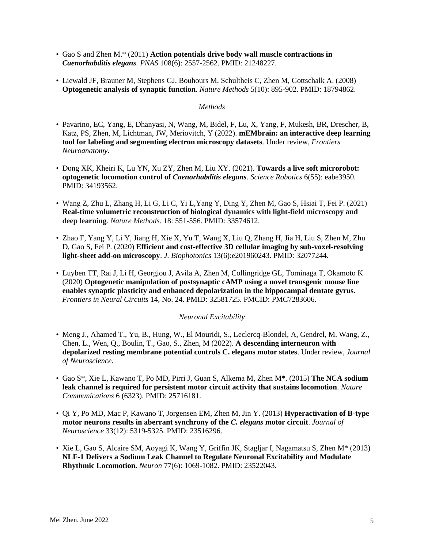- Gao S and Zhen M.\* (2011) **Action potentials drive body wall muscle contractions in**  *Caenorhabditis elegans. PNAS* 108(6): 2557-2562. PMID: 21248227.
- Liewald JF, Brauner M, Stephens GJ, Bouhours M, Schultheis C, Zhen M, Gottschalk A. (2008) **Optogenetic analysis of synaptic function**. *Nature Methods* 5(10): 895-902. PMID: 18794862.

#### *Methods*

- Pavarino, EC, Yang, E, Dhanyasi, N, Wang, M, Bidel, F, Lu, X, Yang, F, Mukesh, BR, Drescher, B, Katz, PS, Zhen, M, Lichtman, JW, Meriovitch, Y (2022). **mEMbrain: an interactive deep learning tool for labeling and segmenting electron microscopy datasets**. Under review, *Frontiers Neuroanatomy*.
- Dong XK, Kheiri K, Lu YN, Xu ZY, Zhen M, Liu XY. (2021). **Towards a live soft microrobot: optogenetic locomotion control of** *Caenorhabditis elegans*. *Science Robotics* 6(55): eabe3950. PMID: 34193562.
- Wang Z, Zhu L, Zhang H, Li G, Li C, Yi L,Yang Y, Ding Y, Zhen M, Gao S, Hsiai T, Fei P. (2021) **Real-time volumetric reconstruction of biological dynamics with light-field microscopy and deep learning**. *Nature Methods*. 18: 551-556. PMID: 33574612.
- Zhao F, Yang Y, Li Y, Jiang H, Xie X, Yu T, Wang X, Liu Q, Zhang H, Jia H, Liu S, Zhen M, Zhu D, Gao S, Fei P. (2020) **Efficient and cost-effective 3D cellular imaging by sub-voxel-resolving light-sheet add-on microscopy**. *J. Biophotonics* 13(6):e201960243. PMID: 32077244.
- Luyben TT, Rai J, Li H, Georgiou J, Avila A, Zhen M, Collingridge GL, Tominaga T, Okamoto K (2020) **Optogenetic manipulation of postsynaptic cAMP using a novel transgenic mouse line enables synaptic plasticity and enhanced depolarization in the hippocampal dentate gyrus**. *Frontiers in Neural Circuits* 14, No. 24. PMID: 32581725. PMCID: PMC7283606.

### *Neuronal Excitability*

- Meng J., Ahamed T., Yu, B., Hung, W., El Mouridi, S., Leclercq-Blondel, A, Gendrel, M. Wang, Z., Chen, L., Wen, Q., Boulin, T., Gao, S., Zhen, M (2022). **A descending interneuron with depolarized resting membrane potential controls C. elegans motor states**. Under review, *Journal of Neuroscience*.
- Gao S\*, Xie L, Kawano T, Po MD, Pirri J, Guan S, Alkema M, Zhen M\*. (2015) **The NCA sodium leak channel is required for persistent motor circuit activity that sustains locomotion**. *Nature Communications* 6 (6323). PMID: 25716181.
- Qi Y, Po MD, Mac P, Kawano T, Jorgensen EM, Zhen M, Jin Y. (2013) **Hyperactivation of B-type motor neurons results in aberrant synchrony of the** *C. elegans* **motor circuit**. *Journal of Neuroscience* 33(12): 5319-5325. PMID: 23516296.
- Xie L, Gao S, Alcaire SM, Aoyagi K, Wang Y, Griffin JK, Stagljar I, Nagamatsu S, Zhen M\* (2013) **NLF-1 Delivers a Sodium Leak Channel to Regulate Neuronal Excitability and Modulate Rhythmic Locomotion.** *Neuron* 77(6): 1069-1082. PMID: 23522043.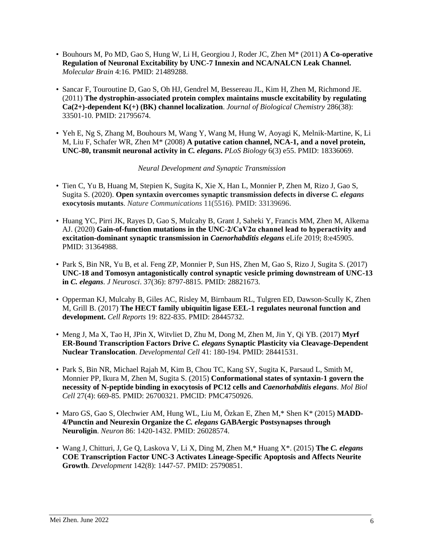- Bouhours M, Po MD, Gao S, Hung W, Li H, Georgiou J, Roder JC, Zhen M\* (2011) **A Co-operative Regulation of Neuronal Excitability by UNC-7 Innexin and NCA/NALCN Leak Channel.**  *Molecular Brain* 4:16. PMID: 21489288.
- Sancar F, Touroutine D, Gao S, Oh HJ, Gendrel M, Bessereau JL, Kim H, Zhen M, Richmond JE. (2011) **The dystrophin-associated protein complex maintains muscle excitability by regulating Ca(2+)-dependent K(+) (BK) channel localization**. *Journal of Biological Chemistry* 286(38): 33501-10. PMID: 21795674.
- Yeh E, Ng S, Zhang M, Bouhours M, Wang Y, Wang M, Hung W, Aoyagi K, Melnik-Martine, K, Li M, Liu F, Schafer WR, Zhen M\* (2008) **A putative cation channel, NCA-1, and a novel protein, UNC-80, transmit neuronal activity in** *C. elegans***.** *PLoS Biology* 6(3) e55. PMID: 18336069.

#### *Neural Development and Synaptic Transmission*

- Tien C, Yu B, Huang M, Stepien K, Sugita K, Xie X, Han L, Monnier P, Zhen M, Rizo J, Gao S, Sugita S. (2020). **Open syntaxin overcomes synaptic transmission defects in diverse** *C. elegans* **exocytosis mutants**. *Nature Communications* 11(5516). PMID: 33139696.
- Huang YC, Pirri JK, Rayes D, Gao S, Mulcahy B, Grant J, Saheki Y, Francis MM, Zhen M, Alkema AJ. (2020) **Gain-of-function mutations in the UNC-2/CaV2α channel lead to hyperactivity and excitation-dominant synaptic transmission in** *Caenorhabditis elegans* eLife 2019; 8:e45905. PMID: 31364988.
- Park S, Bin NR, Yu B, et al. Feng ZP, Monnier P, Sun HS, Zhen M, Gao S, Rizo J, Sugita S. (2017) **UNC-18 and Tomosyn antagonistically control synaptic vesicle priming downstream of UNC-13 in** *C. elegans*. *J Neurosci*. 37(36): 8797-8815. PMID: 28821673.
- Opperman KJ, Mulcahy B, Giles AC, Risley M, Birnbaum RL, Tulgren ED, Dawson-Scully K, Zhen M, Grill B. (2017) **The HECT family ubiquitin ligase EEL-1 regulates neuronal function and development.** *Cell Reports* 19: 822-835. PMID: 28445732.
- Meng J, Ma X, Tao H, JPin X, Witvliet D, Zhu M, Dong M, Zhen M, Jin Y, Qi YB. (2017) **Myrf ER-Bound Transcription Factors Drive** *C. elegans* **Synaptic Plasticity via Cleavage-Dependent Nuclear Translocation**. *Developmental Cell* 41: 180-194. PMID: 28441531.
- Park S, Bin NR, Michael Rajah M, Kim B, Chou TC, Kang SY, Sugita K, Parsaud L, Smith M, Monnier PP, Ikura M, Zhen M, Sugita S. (2015) **Conformational states of syntaxin-1 govern the necessity of N-peptide binding in exocytosis of PC12 cells and** *Caenorhabditis elegans*. *[Mol Biol](http://www.ncbi.nlm.nih.gov/pubmed/?term=Conformational+states+of+syntaxin-1+govern+the+necessity+of+N-peptide+binding+in+exocytosis+of+PC12+cells+and+Caenorhabditis+elegans)  [Cell](http://www.ncbi.nlm.nih.gov/pubmed/?term=Conformational+states+of+syntaxin-1+govern+the+necessity+of+N-peptide+binding+in+exocytosis+of+PC12+cells+and+Caenorhabditis+elegans)* 27(4): 669-85. PMID: 26700321. PMCID: PMC4750926.
- Maro GS, Gao S, Olechwier AM, Hung WL, Liu M, Özkan E, Zhen M,\* Shen K\* (2015) **MADD-4/Punctin and Neurexin Organize the** *C. elegans* **GABAergic Postsynapses through Neuroligin**. *Neuron* 86: 1420-1432. PMID: 26028574.
- Wang J, Chitturi, J, Ge Q, Laskova V, Li X, Ding M, Zhen M,\* Huang X\*. (2015) **The** *C. elegans* **COE Transcription Factor UNC-3 Activates Lineage-Specific Apoptosis and Affects Neurite Growth**. *Development* 142(8): 1447-57. PMID: 25790851.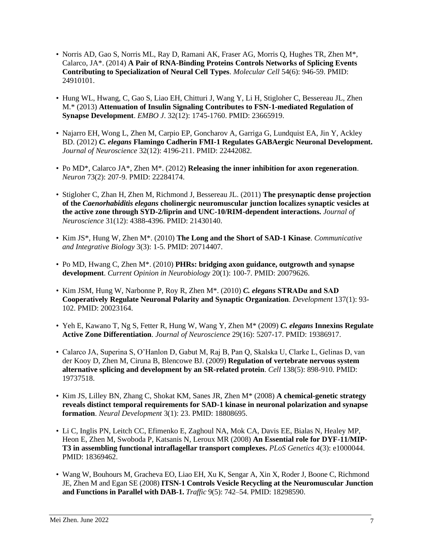- Norris AD, Gao S, Norris ML, Ray D, Ramani AK, Fraser AG, Morris Q, Hughes TR, Zhen M\*, Calarco, JA\*. (2014) **A Pair of RNA-Binding Proteins Controls Networks of Splicing Events Contributing to Specialization of Neural Cell Types**. *Molecular Cell* 54(6): 946-59. PMID: 24910101.
- Hung WL, Hwang, C, Gao S, Liao EH, Chitturi J, Wang Y, Li H, Stigloher C, Bessereau JL, Zhen M.\* (2013) **Attenuation of Insulin Signaling Contributes to FSN-1-mediated Regulation of Synapse Development**. *EMBO J*. 32(12): 1745-1760. PMID: 23665919.
- Najarro EH, Wong L, Zhen M, Carpio EP, Goncharov A, Garriga G, Lundquist EA, Jin Y, Ackley BD. (2012) *C. elegans* **Flamingo Cadherin FMI-1 Regulates GABAergic Neuronal Development.** *Journal of Neuroscience* 32(12): 4196-211. PMID: 22442082.
- Po MD\*, Calarco JA\*, Zhen M\*. (2012) **Releasing the inner inhibition for axon regeneration**. *Neuron* 73(2): 207-9. PMID: 22284174.
- Stigloher C, Zhan H, Zhen M, Richmond J, Bessereau JL. (2011) **The presynaptic dense projection of the** *Caenorhabiditis elegans* **cholinergic neuromuscular junction localizes synaptic vesicles at the active zone through SYD-2/liprin and UNC-10/RIM-dependent interactions.** *Journal of Neuroscience* 31(12): 4388-4396. PMID: 21430140.
- Kim JS\*, Hung W, Zhen M\*. (2010) **The Long and the Short of SAD-1 Kinase**. *Communicative and Integrative Biology* 3(3): 1-5. PMID: 20714407.
- Po MD, Hwang C, Zhen M\*. (2010) **PHRs: bridging axon guidance, outgrowth and synapse development**. *Current Opinion in Neurobiology* 20(1): 100-7. PMID: 20079626.
- Kim JSM, Hung W, Narbonne P, Roy R, Zhen M\*. (2010) *C. elegans* **STRADα and SAD Cooperatively Regulate Neuronal Polarity and Synaptic Organization**. *Development* 137(1): 93- 102. PMID: 20023164.
- Yeh E, Kawano T, Ng S, Fetter R, Hung W, Wang Y, Zhen M\* (2009) *C. elegans* **Innexins Regulate Active Zone Differentiation**. *Journal of Neuroscience* 29(16): 5207-17. PMID: 19386917.
- Calarco JA, Superina S, O'Hanlon D, Gabut M, Raj B, Pan Q, Skalska U, Clarke L, Gelinas D, van der Kooy D, Zhen M, Ciruna B, Blencowe BJ. (2009) **Regulation of vertebrate nervous system alternative splicing and development by an SR-related protein**. *Cell* 138(5): 898-910. PMID: 19737518.
- Kim JS, Lilley BN, Zhang C, Shokat KM, Sanes JR, Zhen M\* (2008) **A chemical-genetic strategy reveals distinct temporal requirements for SAD-1 kinase in neuronal polarization and synapse formation**. *Neural Development* 3(1): 23. PMID: 18808695.
- Li C, Inglis PN, Leitch CC, Efimenko E, Zaghoul NA, Mok CA, Davis EE, Bialas N, Healey MP, Heon E, Zhen M, Swoboda P, Katsanis N, Leroux MR (2008) **An Essential role for DYF-11/MIP-T3 in assembling functional intraflagellar transport complexes.** *PLoS Genetics* 4(3): e1000044. PMID: 18369462.
- Wang W, Bouhours M, Gracheva EO, Liao EH, Xu K, Sengar A, Xin X, Roder J, Boone C, Richmond JE, Zhen M and Egan SE (2008) **ITSN-1 Controls Vesicle Recycling at the Neuromuscular Junction and Functions in Parallel with DAB-1.** *Traffic* 9(5): 742–54. PMID: 18298590.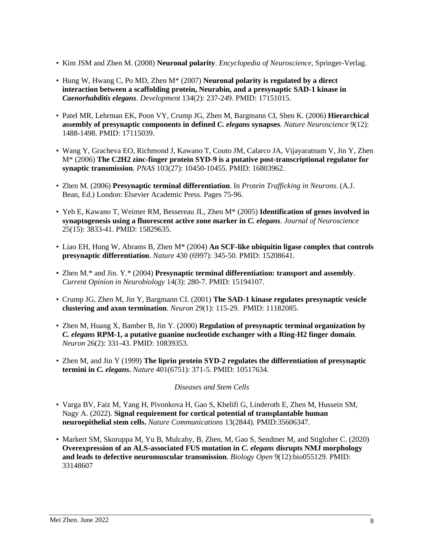- Kim JSM and Zhen M. (2008) **Neuronal polarity**. *Encyclopedia of Neuroscience*, Springer-Verlag.
- Hung W, Hwang C, Po MD, Zhen M\* (2007) **Neuronal polarity is regulated by a direct interaction between a scaffolding protein, Neurabin, and a presynaptic SAD-1 kinase in**  *Caenorhabditis elegans*. *Development* 134(2): 237-249. PMID: 17151015.
- Patel MR, Lehrman EK, Poon VY, Crump JG, Zhen M, Bargmann CI, Shen K. (2006) **Hierarchical assembly of presynaptic components in defined** *C. elegans* **synapses***. Nature Neuroscience* 9(12): 1488-1498. PMID: 17115039.
- Wang Y, Gracheva EO, Richmond J, Kawano T, Couto JM, Calarco JA, Vijayaratnam V, Jin Y, Zhen M\* (2006) **The C2H2 zinc-finger protein SYD-9 is a putative post-transcriptional regulator for synaptic transmission**. *PNAS* 103(27): 10450-10455. PMID: 16803962.
- Zhen M. (2006) **Presynaptic terminal differentiation**. In *Protein Trafficking in Neurons*. (A.J. Bean, Ed.) London: Elsevier Academic Press. Pages 75-96.
- Yeh E, Kawano T, Weimer RM, Bessereau JL, Zhen M\* (2005) **Identification of genes involved in synaptogenesis using a fluorescent active zone marker in** *C. elegans*. *Journal of Neuroscience* 25(15): 3833-41. PMID: 15829635.
- Liao EH, Hung W, Abrams B, Zhen M\* (2004) **An SCF-like ubiquitin ligase complex that controls presynaptic differentiation**. *Nature* 430 (6997): 345-50. PMID: 15208641.
- Zhen M.\* and Jin. Y.\* (2004) **Presynaptic terminal differentiation: transport and assembly**. *Current Opinion in Neurobiology* 14(3): 280-7. PMID: 15194107.
- Crump JG, Zhen M, Jin Y, Bargmann CI. (2001) **The SAD-1 kinase regulates presynaptic vesicle clustering and axon termination**. *Neuron* 29(1): 115-29. PMID: 11182085.
- Zhen M, Huang X, Bamber B, Jin Y. (2000) **Regulation of presynaptic terminal organization by**  *C. elegans* **RPM-1, a putative guanine nucleotide exchanger with a Ring-H2 finger domain**. *Neuron* 26(2): 331-43. PMID: 10839353.
- Zhen M, and Jin Y (1999) **The liprin protein SYD-2 regulates the differentiation of presynaptic termini in** *C. elegans***.** *Nature* 401(6751): 371-5. PMID: 10517634.

#### *Diseases and Stem Cells*

- Varga BV, Faiz M, Yang H, Pivonkova H, Gao S, Khelifi G, Linderoth E, Zhen M, Hussein SM, Nagy A. (2022). **Signal requirement for cortical potential of transplantable human neuroepithelial stem cells.** *Nature Communications* 13(2844). PMID:35606347.
- Markert SM, Skoruppa M, Yu B, Mulcahy, B, Zhen, M, Gao S, Sendtner M, and Stigloher C. (2020) **Overexpression of an ALS-associated FUS mutation in** *C. elegans* **disrupts NMJ morphology and leads to defective neuromuscular transmission**. *Biology Open* 9(12):bio055129. PMID: 33148607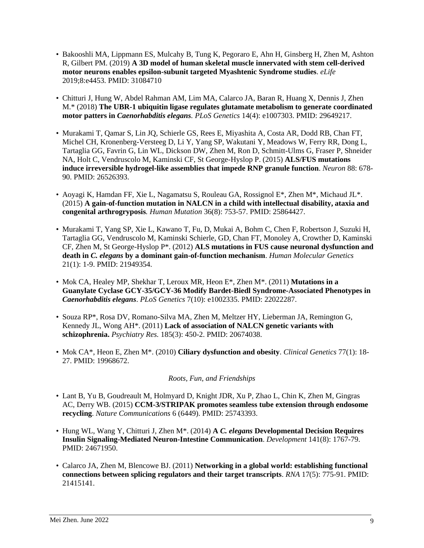- Bakooshli MA, Lippmann ES, Mulcahy B, Tung K, Pegoraro E, Ahn H, Ginsberg H, Zhen M, Ashton R, Gilbert PM. (2019) **A 3D model of human skeletal muscle innervated with stem cell-derived motor neurons enables epsilon-subunit targeted Myashtenic Syndrome studies**. *eLife*  2019;8:e4453. PMID: 31084710
- Chitturi J, Hung W, Abdel Rahman AM, Lim MA, Calarco JA, Baran R, Huang X, Dennis J, Zhen M.\* (2018) **The UBR-1 ubiquitin ligase regulates glutamate metabolism to generate coordinated motor patters in** *Caenorhabditis elegans. PLoS Genetics* 14(4): e1007303[. PMID: 29649217.](https://www-ncbi-nlm-nih-gov.myaccess.library.utoronto.ca/pubmed/?term=The+UBR-1+Ubiquitin+Ligase+Regulates+Glutamate+Metabolism)
- Murakami T, Qamar S, Lin JQ, Schierle GS, Rees E, Miyashita A, Costa AR, Dodd RB, Chan FT, Michel CH, Kronenberg-Versteeg D, Li Y, Yang SP, Wakutani Y, Meadows W, Ferry RR, Dong L, Tartaglia GG, Favrin G, Lin WL, Dickson DW, Zhen M, Ron D, Schmitt-Ulms G, Fraser P, Shneider NA, Holt C, Vendruscolo M, Kaminski CF, St George-Hyslop P. (2015) **ALS/FUS mutations induce irreversible hydrogel-like assemblies that impede RNP granule function**. *Neuron* 88: 678- 90. PMID: 26526393.
- Aoyagi K, Hamdan FF, Xie L, Nagamatsu S, Rouleau GA, Rossignol E\*, Zhen M\*, Michaud JL\*. (2015) **A gain-of-function mutation in NALCN in a child with intellectual disability, ataxia and congenital arthrogryposis***. Human Mutation* 36(8): 753-57. PMID: 25864427.
- Murakami T, Yang SP, Xie L, Kawano T, Fu, D, Mukai A, Bohm C, Chen F, Robertson J, Suzuki H, Tartaglia GG, Vendruscolo M, Kaminski Schierle, GD, Chan FT, Monoley A, Crowther D, Kaminski CF, Zhen M, St George-Hyslop P\*. (2012) **ALS mutations in FUS cause neuronal dysfunction and death in** *C. elegans* **by a dominant gain-of-function mechanism**. *Human Molecular Genetics* 21(1): 1-9. PMID: 21949354.
- Mok CA, Healey MP, Shekhar T, Leroux MR, Heon E\*, Zhen M\*. (2011) **[Mutations in a](about:blank)  [Guanylate Cyclase GCY-35/GCY-36 Modify Bardet-Biedl Syndrome-Associated Phenotypes in](about:blank)**  *[Caenorhabditis elegans](about:blank)*. *PLoS Genetics* 7(10): e1002335. PMID: 22022287.
- Souza RP\*, Rosa DV, Romano-Silva MA, Zhen M, Meltzer HY, Lieberman JA, Remington G, Kennedy JL, Wong AH\*. (2011) **Lack of association of NALCN genetic variants with schizophrenia.** *Psychiatry Res.* 185(3): 450-2. PMID: 20674038.
- Mok CA\*, Heon E, Zhen M\*. (2010) **Ciliary dysfunction and obesity**. *Clinical Genetics* 77(1): 18- 27. PMID: 19968672.

### *Roots, Fun, and Friendships*

- Lant B, Yu B, Goudreault M, Holmyard D, Knight JDR, Xu P, Zhao L, Chin K, Zhen M, Gingras AC, Derry WB. (2015) **CCM-3/STRIPAK promotes seamless tube extension through endosome recycling**. *Nature Communications* 6 (6449). PMID: 25743393.
- Hung WL, Wang Y, Chitturi J, Zhen M\*. (2014) **A** *C. elegans* **Developmental Decision Requires Insulin Signaling-Mediated Neuron-Intestine Communication**. *Development* 141(8): 1767-79. PMID: 24671950.
- Calarco JA, Zhen M, Blencowe BJ. (2011) **Networking in a global world: establishing functional connections between splicing regulators and their target transcripts**. *RNA* 17(5): 775-91. PMID: 21415141.